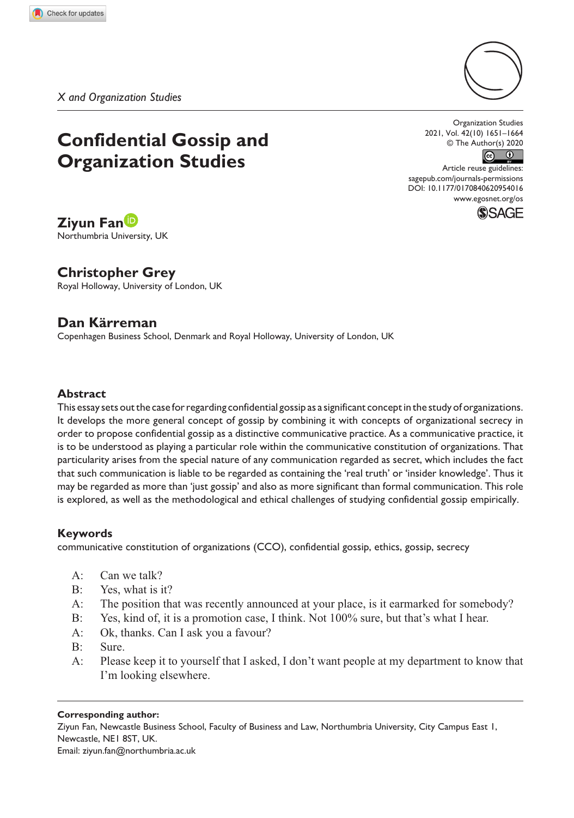*X and Organization Studies*

# **Confidential Gossip and Organization Studies**

Organization Studies 2021, Vol. 42(10) 1651–1664 © The Author(s) 2020



DOI: 10.1177/0170840620954016 Article reuse guidelines: [sagepub.com/journals-permissions](https://uk.sagepub.com/en-gb/journals-permissions) [www.egosnet.org/os](http://www.egosnet.org/os)



# **Ziyun Fan**

Northumbria University, UK

# **Christopher Grey**

Royal Holloway, University of London, UK

# **Dan Kärreman**

Copenhagen Business School, Denmark and Royal Holloway, University of London, UK

### **Abstract**

This essay sets out the case for regarding confidential gossip as a significant concept in the study of organizations. It develops the more general concept of gossip by combining it with concepts of organizational secrecy in order to propose confidential gossip as a distinctive communicative practice. As a communicative practice, it is to be understood as playing a particular role within the communicative constitution of organizations. That particularity arises from the special nature of any communication regarded as secret, which includes the fact that such communication is liable to be regarded as containing the 'real truth' or 'insider knowledge'. Thus it may be regarded as more than 'just gossip' and also as more significant than formal communication. This role is explored, as well as the methodological and ethical challenges of studying confidential gossip empirically.

## **Keywords**

communicative constitution of organizations (CCO), confidential gossip, ethics, gossip, secrecy

- A: Can we talk?
- B: Yes, what is it?
- A: The position that was recently announced at your place, is it earmarked for somebody?
- B: Yes, kind of, it is a promotion case, I think. Not 100% sure, but that's what I hear.
- A: Ok, thanks. Can I ask you a favour?
- B: Sure.
- A: Please keep it to yourself that I asked, I don't want people at my department to know that I'm looking elsewhere.

#### **Corresponding author:**

Ziyun Fan, Newcastle Business School, Faculty of Business and Law, Northumbria University, City Campus East 1, Newcastle, NE1 8ST, UK. Email: [ziyun.fan@northumbria.ac.uk](mailto:ziyun.fan@northumbria.ac.uk)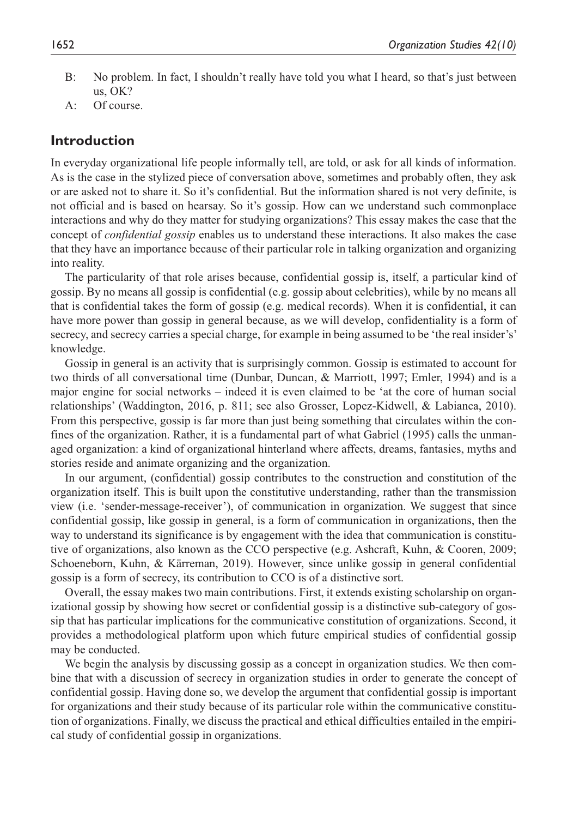- B: No problem. In fact, I shouldn't really have told you what I heard, so that's just between us, OK?
- A: Of course.

## **Introduction**

In everyday organizational life people informally tell, are told, or ask for all kinds of information. As is the case in the stylized piece of conversation above, sometimes and probably often, they ask or are asked not to share it. So it's confidential. But the information shared is not very definite, is not official and is based on hearsay. So it's gossip. How can we understand such commonplace interactions and why do they matter for studying organizations? This essay makes the case that the concept of *confidential gossip* enables us to understand these interactions. It also makes the case that they have an importance because of their particular role in talking organization and organizing into reality.

The particularity of that role arises because, confidential gossip is, itself, a particular kind of gossip. By no means all gossip is confidential (e.g. gossip about celebrities), while by no means all that is confidential takes the form of gossip (e.g. medical records). When it is confidential, it can have more power than gossip in general because, as we will develop, confidentiality is a form of secrecy, and secrecy carries a special charge, for example in being assumed to be 'the real insider's' knowledge.

Gossip in general is an activity that is surprisingly common. Gossip is estimated to account for two thirds of all conversational time (Dunbar, Duncan, & Marriott, 1997; Emler, 1994) and is a major engine for social networks – indeed it is even claimed to be 'at the core of human social relationships' (Waddington, 2016, p. 811; see also Grosser, Lopez-Kidwell, & Labianca, 2010). From this perspective, gossip is far more than just being something that circulates within the confines of the organization. Rather, it is a fundamental part of what Gabriel (1995) calls the unmanaged organization: a kind of organizational hinterland where affects, dreams, fantasies, myths and stories reside and animate organizing and the organization.

In our argument, (confidential) gossip contributes to the construction and constitution of the organization itself. This is built upon the constitutive understanding, rather than the transmission view (i.e. 'sender-message-receiver'), of communication in organization. We suggest that since confidential gossip, like gossip in general, is a form of communication in organizations, then the way to understand its significance is by engagement with the idea that communication is constitutive of organizations, also known as the CCO perspective (e.g. Ashcraft, Kuhn, & Cooren, 2009; Schoeneborn, Kuhn, & Kärreman, 2019). However, since unlike gossip in general confidential gossip is a form of secrecy, its contribution to CCO is of a distinctive sort.

Overall, the essay makes two main contributions. First, it extends existing scholarship on organizational gossip by showing how secret or confidential gossip is a distinctive sub-category of gossip that has particular implications for the communicative constitution of organizations. Second, it provides a methodological platform upon which future empirical studies of confidential gossip may be conducted.

We begin the analysis by discussing gossip as a concept in organization studies. We then combine that with a discussion of secrecy in organization studies in order to generate the concept of confidential gossip. Having done so, we develop the argument that confidential gossip is important for organizations and their study because of its particular role within the communicative constitution of organizations. Finally, we discuss the practical and ethical difficulties entailed in the empirical study of confidential gossip in organizations.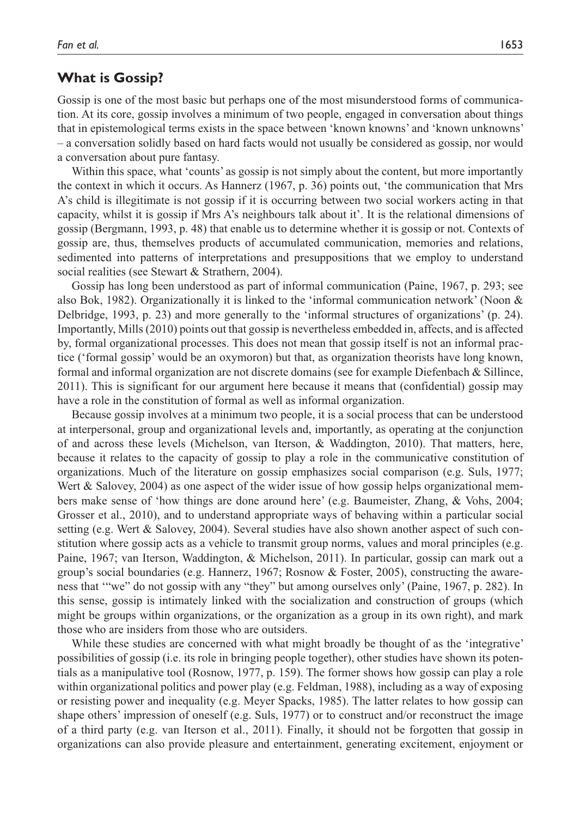## **What is Gossip?**

Gossip is one of the most basic but perhaps one of the most misunderstood forms of communication. At its core, gossip involves a minimum of two people, engaged in conversation about things that in epistemological terms exists in the space between 'known knowns' and 'known unknowns' – a conversation solidly based on hard facts would not usually be considered as gossip, nor would a conversation about pure fantasy.

Within this space, what 'counts' as gossip is not simply about the content, but more importantly the context in which it occurs. As Hannerz (1967, p. 36) points out, 'the communication that Mrs A's child is illegitimate is not gossip if it is occurring between two social workers acting in that capacity, whilst it is gossip if Mrs A's neighbours talk about it'. It is the relational dimensions of gossip (Bergmann, 1993, p. 48) that enable us to determine whether it is gossip or not. Contexts of gossip are, thus, themselves products of accumulated communication, memories and relations, sedimented into patterns of interpretations and presuppositions that we employ to understand social realities (see Stewart & Strathern, 2004).

Gossip has long been understood as part of informal communication (Paine, 1967, p. 293; see also Bok, 1982). Organizationally it is linked to the 'informal communication network' (Noon & Delbridge, 1993, p. 23) and more generally to the 'informal structures of organizations' (p. 24). Importantly, Mills (2010) points out that gossip is nevertheless embedded in, affects, and is affected by, formal organizational processes. This does not mean that gossip itself is not an informal practice ('formal gossip' would be an oxymoron) but that, as organization theorists have long known, formal and informal organization are not discrete domains (see for example Diefenbach & Sillince, 2011). This is significant for our argument here because it means that (confidential) gossip may have a role in the constitution of formal as well as informal organization.

Because gossip involves at a minimum two people, it is a social process that can be understood at interpersonal, group and organizational levels and, importantly, as operating at the conjunction of and across these levels (Michelson, van Iterson, & Waddington, 2010). That matters, here, because it relates to the capacity of gossip to play a role in the communicative constitution of organizations. Much of the literature on gossip emphasizes social comparison (e.g. Suls, 1977; Wert & Salovey, 2004) as one aspect of the wider issue of how gossip helps organizational members make sense of 'how things are done around here' (e.g. Baumeister, Zhang, & Vohs, 2004; Grosser et al., 2010), and to understand appropriate ways of behaving within a particular social setting (e.g. Wert & Salovey, 2004). Several studies have also shown another aspect of such constitution where gossip acts as a vehicle to transmit group norms, values and moral principles (e.g. Paine, 1967; van Iterson, Waddington, & Michelson, 2011). In particular, gossip can mark out a group's social boundaries (e.g. Hannerz, 1967; Rosnow & Foster, 2005), constructing the awareness that '"we" do not gossip with any "they" but among ourselves only' (Paine, 1967, p. 282). In this sense, gossip is intimately linked with the socialization and construction of groups (which might be groups within organizations, or the organization as a group in its own right), and mark those who are insiders from those who are outsiders.

While these studies are concerned with what might broadly be thought of as the 'integrative' possibilities of gossip (i.e. its role in bringing people together), other studies have shown its potentials as a manipulative tool (Rosnow, 1977, p. 159). The former shows how gossip can play a role within organizational politics and power play (e.g. Feldman, 1988), including as a way of exposing or resisting power and inequality (e.g. Meyer Spacks, 1985). The latter relates to how gossip can shape others' impression of oneself (e.g. Suls, 1977) or to construct and/or reconstruct the image of a third party (e.g. van Iterson et al., 2011). Finally, it should not be forgotten that gossip in organizations can also provide pleasure and entertainment, generating excitement, enjoyment or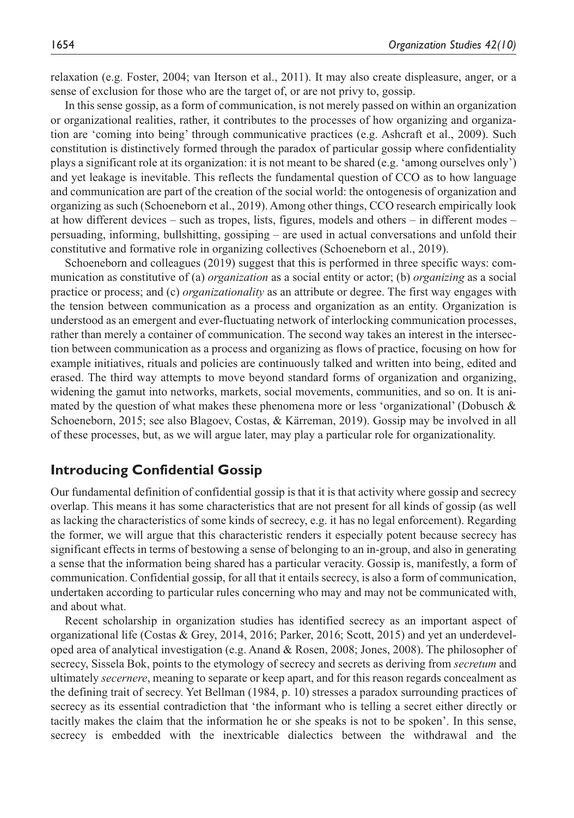relaxation (e.g. Foster, 2004; van Iterson et al., 2011). It may also create displeasure, anger, or a sense of exclusion for those who are the target of, or are not privy to, gossip.

In this sense gossip, as a form of communication, is not merely passed on within an organization or organizational realities, rather, it contributes to the processes of how organizing and organization are 'coming into being' through communicative practices (e.g. Ashcraft et al., 2009). Such constitution is distinctively formed through the paradox of particular gossip where confidentiality plays a significant role at its organization: it is not meant to be shared (e.g. 'among ourselves only') and yet leakage is inevitable. This reflects the fundamental question of CCO as to how language and communication are part of the creation of the social world: the ontogenesis of organization and organizing as such (Schoeneborn et al., 2019). Among other things, CCO research empirically look at how different devices – such as tropes, lists, figures, models and others – in different modes – persuading, informing, bullshitting, gossiping – are used in actual conversations and unfold their constitutive and formative role in organizing collectives (Schoeneborn et al., 2019).

Schoeneborn and colleagues (2019) suggest that this is performed in three specific ways: communication as constitutive of (a) *organization* as a social entity or actor; (b) *organizing* as a social practice or process; and (c) *organizationality* as an attribute or degree. The first way engages with the tension between communication as a process and organization as an entity. Organization is understood as an emergent and ever-fluctuating network of interlocking communication processes, rather than merely a container of communication. The second way takes an interest in the intersection between communication as a process and organizing as flows of practice, focusing on how for example initiatives, rituals and policies are continuously talked and written into being, edited and erased. The third way attempts to move beyond standard forms of organization and organizing, widening the gamut into networks, markets, social movements, communities, and so on. It is animated by the question of what makes these phenomena more or less 'organizational' (Dobusch & Schoeneborn, 2015; see also Blagoev, Costas, & Kärreman, 2019). Gossip may be involved in all of these processes, but, as we will argue later, may play a particular role for organizationality.

# **Introducing Confidential Gossip**

Our fundamental definition of confidential gossip is that it is that activity where gossip and secrecy overlap. This means it has some characteristics that are not present for all kinds of gossip (as well as lacking the characteristics of some kinds of secrecy, e.g. it has no legal enforcement). Regarding the former, we will argue that this characteristic renders it especially potent because secrecy has significant effects in terms of bestowing a sense of belonging to an in-group, and also in generating a sense that the information being shared has a particular veracity. Gossip is, manifestly, a form of communication. Confidential gossip, for all that it entails secrecy, is also a form of communication, undertaken according to particular rules concerning who may and may not be communicated with, and about what.

Recent scholarship in organization studies has identified secrecy as an important aspect of organizational life (Costas & Grey, 2014, 2016; Parker, 2016; Scott, 2015) and yet an underdeveloped area of analytical investigation (e.g. Anand & Rosen, 2008; Jones, 2008). The philosopher of secrecy, Sissela Bok, points to the etymology of secrecy and secrets as deriving from *secretum* and ultimately *secernere*, meaning to separate or keep apart, and for this reason regards concealment as the defining trait of secrecy. Yet Bellman (1984, p. 10) stresses a paradox surrounding practices of secrecy as its essential contradiction that 'the informant who is telling a secret either directly or tacitly makes the claim that the information he or she speaks is not to be spoken'. In this sense, secrecy is embedded with the inextricable dialectics between the withdrawal and the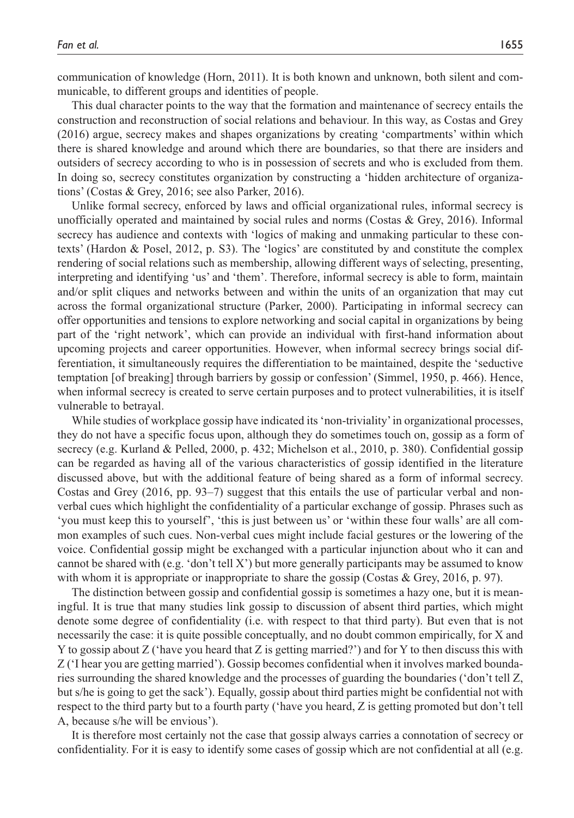communication of knowledge (Horn, 2011). It is both known and unknown, both silent and communicable, to different groups and identities of people.

This dual character points to the way that the formation and maintenance of secrecy entails the construction and reconstruction of social relations and behaviour. In this way, as Costas and Grey (2016) argue, secrecy makes and shapes organizations by creating 'compartments' within which there is shared knowledge and around which there are boundaries, so that there are insiders and outsiders of secrecy according to who is in possession of secrets and who is excluded from them. In doing so, secrecy constitutes organization by constructing a 'hidden architecture of organizations' (Costas & Grey, 2016; see also Parker, 2016).

Unlike formal secrecy, enforced by laws and official organizational rules, informal secrecy is unofficially operated and maintained by social rules and norms (Costas & Grey, 2016). Informal secrecy has audience and contexts with 'logics of making and unmaking particular to these contexts' (Hardon & Posel, 2012, p. S3). The 'logics' are constituted by and constitute the complex rendering of social relations such as membership, allowing different ways of selecting, presenting, interpreting and identifying 'us' and 'them'. Therefore, informal secrecy is able to form, maintain and/or split cliques and networks between and within the units of an organization that may cut across the formal organizational structure (Parker, 2000). Participating in informal secrecy can offer opportunities and tensions to explore networking and social capital in organizations by being part of the 'right network', which can provide an individual with first-hand information about upcoming projects and career opportunities. However, when informal secrecy brings social differentiation, it simultaneously requires the differentiation to be maintained, despite the 'seductive temptation [of breaking] through barriers by gossip or confession' (Simmel, 1950, p. 466). Hence, when informal secrecy is created to serve certain purposes and to protect vulnerabilities, it is itself vulnerable to betrayal.

While studies of workplace gossip have indicated its 'non-triviality' in organizational processes, they do not have a specific focus upon, although they do sometimes touch on, gossip as a form of secrecy (e.g. Kurland & Pelled, 2000, p. 432; Michelson et al., 2010, p. 380). Confidential gossip can be regarded as having all of the various characteristics of gossip identified in the literature discussed above, but with the additional feature of being shared as a form of informal secrecy. Costas and Grey (2016, pp. 93–7) suggest that this entails the use of particular verbal and nonverbal cues which highlight the confidentiality of a particular exchange of gossip. Phrases such as 'you must keep this to yourself', 'this is just between us' or 'within these four walls' are all common examples of such cues. Non-verbal cues might include facial gestures or the lowering of the voice. Confidential gossip might be exchanged with a particular injunction about who it can and cannot be shared with (e.g. 'don't tell X') but more generally participants may be assumed to know with whom it is appropriate or inappropriate to share the gossip (Costas & Grey, 2016, p. 97).

The distinction between gossip and confidential gossip is sometimes a hazy one, but it is meaningful. It is true that many studies link gossip to discussion of absent third parties, which might denote some degree of confidentiality (i.e. with respect to that third party). But even that is not necessarily the case: it is quite possible conceptually, and no doubt common empirically, for X and Y to gossip about Z ('have you heard that Z is getting married?') and for Y to then discuss this with Z ('I hear you are getting married'). Gossip becomes confidential when it involves marked boundaries surrounding the shared knowledge and the processes of guarding the boundaries ('don't tell Z, but s/he is going to get the sack'). Equally, gossip about third parties might be confidential not with respect to the third party but to a fourth party ('have you heard, Z is getting promoted but don't tell A, because s/he will be envious').

It is therefore most certainly not the case that gossip always carries a connotation of secrecy or confidentiality. For it is easy to identify some cases of gossip which are not confidential at all (e.g.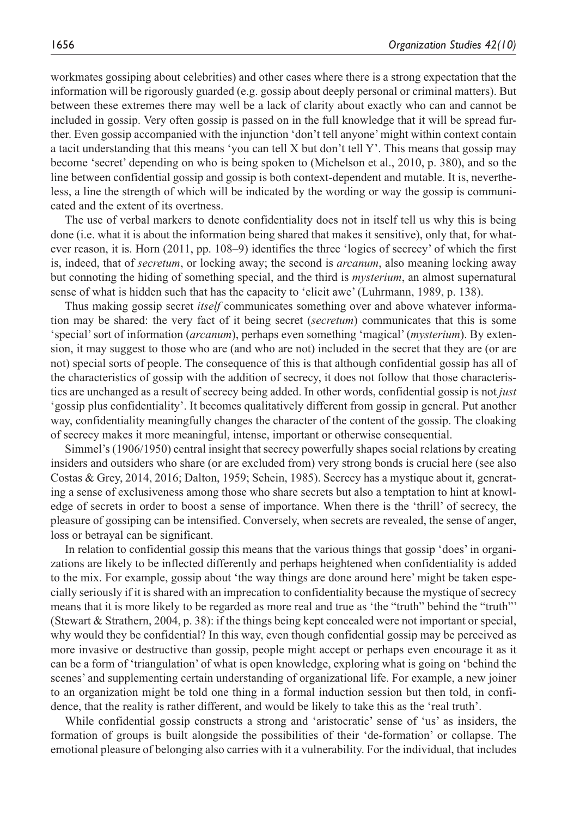workmates gossiping about celebrities) and other cases where there is a strong expectation that the information will be rigorously guarded (e.g. gossip about deeply personal or criminal matters). But between these extremes there may well be a lack of clarity about exactly who can and cannot be included in gossip. Very often gossip is passed on in the full knowledge that it will be spread further. Even gossip accompanied with the injunction 'don't tell anyone' might within context contain a tacit understanding that this means 'you can tell X but don't tell Y'. This means that gossip may become 'secret' depending on who is being spoken to (Michelson et al., 2010, p. 380), and so the line between confidential gossip and gossip is both context-dependent and mutable. It is, nevertheless, a line the strength of which will be indicated by the wording or way the gossip is communicated and the extent of its overtness.

The use of verbal markers to denote confidentiality does not in itself tell us why this is being done (i.e. what it is about the information being shared that makes it sensitive), only that, for whatever reason, it is. Horn (2011, pp. 108–9) identifies the three 'logics of secrecy' of which the first is, indeed, that of *secretum*, or locking away; the second is *arcanum*, also meaning locking away but connoting the hiding of something special, and the third is *mysterium*, an almost supernatural sense of what is hidden such that has the capacity to 'elicit awe' (Luhrmann, 1989, p. 138).

Thus making gossip secret *itself* communicates something over and above whatever information may be shared: the very fact of it being secret (*secretum*) communicates that this is some 'special' sort of information (*arcanum*), perhaps even something 'magical' (*mysterium*). By extension, it may suggest to those who are (and who are not) included in the secret that they are (or are not) special sorts of people. The consequence of this is that although confidential gossip has all of the characteristics of gossip with the addition of secrecy, it does not follow that those characteristics are unchanged as a result of secrecy being added. In other words, confidential gossip is not *just* 'gossip plus confidentiality'. It becomes qualitatively different from gossip in general. Put another way, confidentiality meaningfully changes the character of the content of the gossip. The cloaking of secrecy makes it more meaningful, intense, important or otherwise consequential.

Simmel's (1906/1950) central insight that secrecy powerfully shapes social relations by creating insiders and outsiders who share (or are excluded from) very strong bonds is crucial here (see also Costas & Grey, 2014, 2016; Dalton, 1959; Schein, 1985). Secrecy has a mystique about it, generating a sense of exclusiveness among those who share secrets but also a temptation to hint at knowledge of secrets in order to boost a sense of importance. When there is the 'thrill' of secrecy, the pleasure of gossiping can be intensified. Conversely, when secrets are revealed, the sense of anger, loss or betrayal can be significant.

In relation to confidential gossip this means that the various things that gossip 'does' in organizations are likely to be inflected differently and perhaps heightened when confidentiality is added to the mix. For example, gossip about 'the way things are done around here' might be taken especially seriously if it is shared with an imprecation to confidentiality because the mystique of secrecy means that it is more likely to be regarded as more real and true as 'the "truth" behind the "truth"' (Stewart & Strathern, 2004, p. 38): if the things being kept concealed were not important or special, why would they be confidential? In this way, even though confidential gossip may be perceived as more invasive or destructive than gossip, people might accept or perhaps even encourage it as it can be a form of 'triangulation' of what is open knowledge, exploring what is going on 'behind the scenes' and supplementing certain understanding of organizational life. For example, a new joiner to an organization might be told one thing in a formal induction session but then told, in confidence, that the reality is rather different, and would be likely to take this as the 'real truth'.

While confidential gossip constructs a strong and 'aristocratic' sense of 'us' as insiders, the formation of groups is built alongside the possibilities of their 'de-formation' or collapse. The emotional pleasure of belonging also carries with it a vulnerability. For the individual, that includes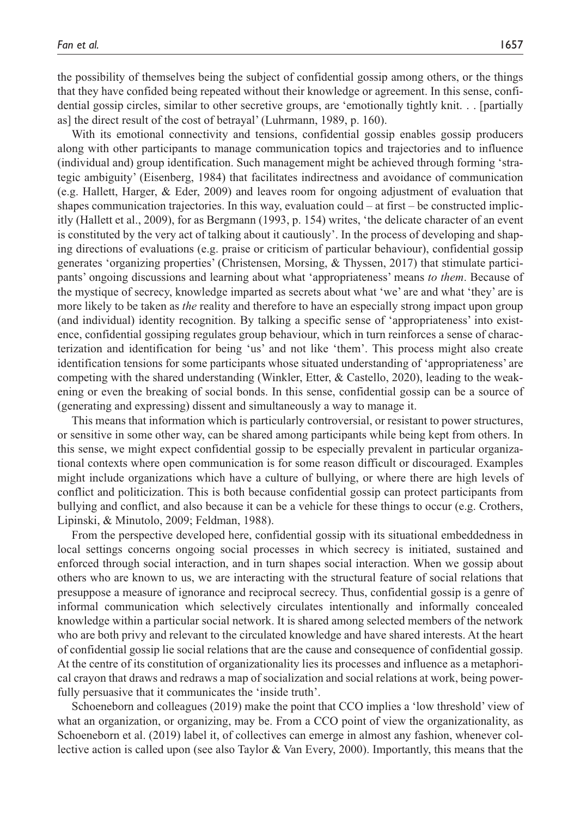the possibility of themselves being the subject of confidential gossip among others, or the things that they have confided being repeated without their knowledge or agreement. In this sense, confidential gossip circles, similar to other secretive groups, are 'emotionally tightly knit. . . [partially as] the direct result of the cost of betrayal' (Luhrmann, 1989, p. 160).

With its emotional connectivity and tensions, confidential gossip enables gossip producers along with other participants to manage communication topics and trajectories and to influence (individual and) group identification. Such management might be achieved through forming 'strategic ambiguity' (Eisenberg, 1984) that facilitates indirectness and avoidance of communication (e.g. Hallett, Harger, & Eder, 2009) and leaves room for ongoing adjustment of evaluation that shapes communication trajectories. In this way, evaluation could – at first – be constructed implicitly (Hallett et al., 2009), for as Bergmann (1993, p. 154) writes, 'the delicate character of an event is constituted by the very act of talking about it cautiously'. In the process of developing and shaping directions of evaluations (e.g. praise or criticism of particular behaviour), confidential gossip generates 'organizing properties' (Christensen, Morsing, & Thyssen, 2017) that stimulate participants' ongoing discussions and learning about what 'appropriateness' means *to them*. Because of the mystique of secrecy, knowledge imparted as secrets about what 'we' are and what 'they' are is more likely to be taken as *the* reality and therefore to have an especially strong impact upon group (and individual) identity recognition. By talking a specific sense of 'appropriateness' into existence, confidential gossiping regulates group behaviour, which in turn reinforces a sense of characterization and identification for being 'us' and not like 'them'. This process might also create identification tensions for some participants whose situated understanding of 'appropriateness' are competing with the shared understanding (Winkler, Etter, & Castello, 2020), leading to the weakening or even the breaking of social bonds. In this sense, confidential gossip can be a source of (generating and expressing) dissent and simultaneously a way to manage it.

This means that information which is particularly controversial, or resistant to power structures, or sensitive in some other way, can be shared among participants while being kept from others. In this sense, we might expect confidential gossip to be especially prevalent in particular organizational contexts where open communication is for some reason difficult or discouraged. Examples might include organizations which have a culture of bullying, or where there are high levels of conflict and politicization. This is both because confidential gossip can protect participants from bullying and conflict, and also because it can be a vehicle for these things to occur (e.g. Crothers, Lipinski, & Minutolo, 2009; Feldman, 1988).

From the perspective developed here, confidential gossip with its situational embeddedness in local settings concerns ongoing social processes in which secrecy is initiated, sustained and enforced through social interaction, and in turn shapes social interaction. When we gossip about others who are known to us, we are interacting with the structural feature of social relations that presuppose a measure of ignorance and reciprocal secrecy. Thus, confidential gossip is a genre of informal communication which selectively circulates intentionally and informally concealed knowledge within a particular social network. It is shared among selected members of the network who are both privy and relevant to the circulated knowledge and have shared interests. At the heart of confidential gossip lie social relations that are the cause and consequence of confidential gossip. At the centre of its constitution of organizationality lies its processes and influence as a metaphorical crayon that draws and redraws a map of socialization and social relations at work, being powerfully persuasive that it communicates the 'inside truth'.

Schoeneborn and colleagues (2019) make the point that CCO implies a 'low threshold' view of what an organization, or organizing, may be. From a CCO point of view the organizationality, as Schoeneborn et al. (2019) label it, of collectives can emerge in almost any fashion, whenever collective action is called upon (see also Taylor & Van Every, 2000). Importantly, this means that the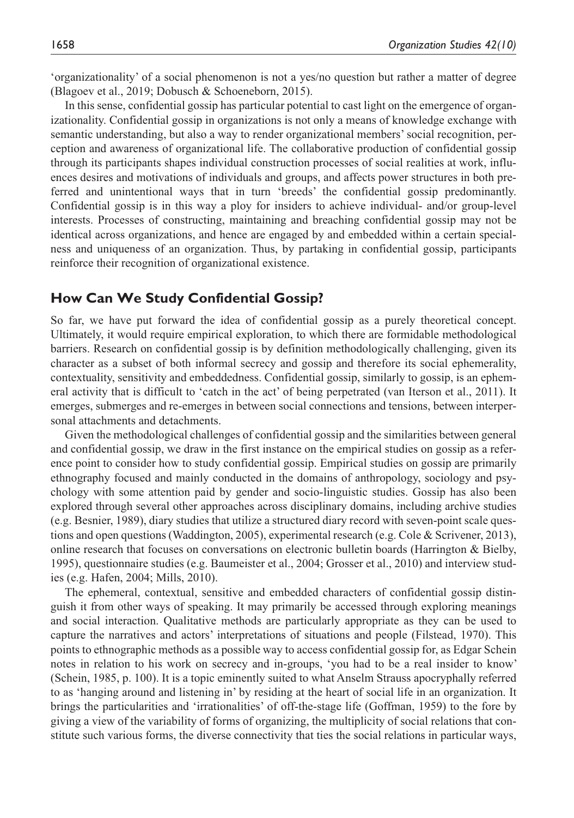'organizationality' of a social phenomenon is not a yes/no question but rather a matter of degree (Blagoev et al., 2019; Dobusch & Schoeneborn, 2015).

In this sense, confidential gossip has particular potential to cast light on the emergence of organizationality. Confidential gossip in organizations is not only a means of knowledge exchange with semantic understanding, but also a way to render organizational members' social recognition, perception and awareness of organizational life. The collaborative production of confidential gossip through its participants shapes individual construction processes of social realities at work, influences desires and motivations of individuals and groups, and affects power structures in both preferred and unintentional ways that in turn 'breeds' the confidential gossip predominantly. Confidential gossip is in this way a ploy for insiders to achieve individual- and/or group-level interests. Processes of constructing, maintaining and breaching confidential gossip may not be identical across organizations, and hence are engaged by and embedded within a certain specialness and uniqueness of an organization. Thus, by partaking in confidential gossip, participants reinforce their recognition of organizational existence.

# **How Can We Study Confidential Gossip?**

So far, we have put forward the idea of confidential gossip as a purely theoretical concept. Ultimately, it would require empirical exploration, to which there are formidable methodological barriers. Research on confidential gossip is by definition methodologically challenging, given its character as a subset of both informal secrecy and gossip and therefore its social ephemerality, contextuality, sensitivity and embeddedness. Confidential gossip, similarly to gossip, is an ephemeral activity that is difficult to 'catch in the act' of being perpetrated (van Iterson et al., 2011). It emerges, submerges and re-emerges in between social connections and tensions, between interpersonal attachments and detachments.

Given the methodological challenges of confidential gossip and the similarities between general and confidential gossip, we draw in the first instance on the empirical studies on gossip as a reference point to consider how to study confidential gossip. Empirical studies on gossip are primarily ethnography focused and mainly conducted in the domains of anthropology, sociology and psychology with some attention paid by gender and socio-linguistic studies. Gossip has also been explored through several other approaches across disciplinary domains, including archive studies (e.g. Besnier, 1989), diary studies that utilize a structured diary record with seven-point scale questions and open questions (Waddington, 2005), experimental research (e.g. Cole & Scrivener, 2013), online research that focuses on conversations on electronic bulletin boards (Harrington & Bielby, 1995), questionnaire studies (e.g. Baumeister et al., 2004; Grosser et al., 2010) and interview studies (e.g. Hafen, 2004; Mills, 2010).

The ephemeral, contextual, sensitive and embedded characters of confidential gossip distinguish it from other ways of speaking. It may primarily be accessed through exploring meanings and social interaction. Qualitative methods are particularly appropriate as they can be used to capture the narratives and actors' interpretations of situations and people (Filstead, 1970). This points to ethnographic methods as a possible way to access confidential gossip for, as Edgar Schein notes in relation to his work on secrecy and in-groups, 'you had to be a real insider to know' (Schein, 1985, p. 100). It is a topic eminently suited to what Anselm Strauss apocryphally referred to as 'hanging around and listening in' by residing at the heart of social life in an organization. It brings the particularities and 'irrationalities' of off-the-stage life (Goffman, 1959) to the fore by giving a view of the variability of forms of organizing, the multiplicity of social relations that constitute such various forms, the diverse connectivity that ties the social relations in particular ways,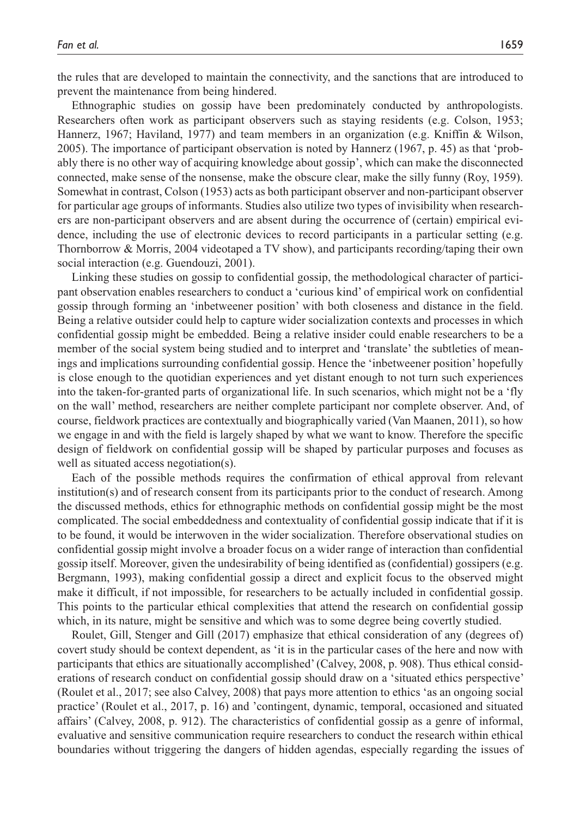the rules that are developed to maintain the connectivity, and the sanctions that are introduced to prevent the maintenance from being hindered.

Ethnographic studies on gossip have been predominately conducted by anthropologists. Researchers often work as participant observers such as staying residents (e.g. Colson, 1953; Hannerz, 1967; Haviland, 1977) and team members in an organization (e.g. Kniffin & Wilson, 2005). The importance of participant observation is noted by Hannerz (1967, p. 45) as that 'probably there is no other way of acquiring knowledge about gossip', which can make the disconnected connected, make sense of the nonsense, make the obscure clear, make the silly funny (Roy, 1959). Somewhat in contrast, Colson (1953) acts as both participant observer and non-participant observer for particular age groups of informants. Studies also utilize two types of invisibility when researchers are non-participant observers and are absent during the occurrence of (certain) empirical evidence, including the use of electronic devices to record participants in a particular setting (e.g. Thornborrow & Morris, 2004 videotaped a TV show), and participants recording/taping their own social interaction (e.g. Guendouzi, 2001).

Linking these studies on gossip to confidential gossip, the methodological character of participant observation enables researchers to conduct a 'curious kind' of empirical work on confidential gossip through forming an 'inbetweener position' with both closeness and distance in the field. Being a relative outsider could help to capture wider socialization contexts and processes in which confidential gossip might be embedded. Being a relative insider could enable researchers to be a member of the social system being studied and to interpret and 'translate' the subtleties of meanings and implications surrounding confidential gossip. Hence the 'inbetweener position' hopefully is close enough to the quotidian experiences and yet distant enough to not turn such experiences into the taken-for-granted parts of organizational life. In such scenarios, which might not be a 'fly on the wall' method, researchers are neither complete participant nor complete observer. And, of course, fieldwork practices are contextually and biographically varied (Van Maanen, 2011), so how we engage in and with the field is largely shaped by what we want to know. Therefore the specific design of fieldwork on confidential gossip will be shaped by particular purposes and focuses as well as situated access negotiation(s).

Each of the possible methods requires the confirmation of ethical approval from relevant institution(s) and of research consent from its participants prior to the conduct of research. Among the discussed methods, ethics for ethnographic methods on confidential gossip might be the most complicated. The social embeddedness and contextuality of confidential gossip indicate that if it is to be found, it would be interwoven in the wider socialization. Therefore observational studies on confidential gossip might involve a broader focus on a wider range of interaction than confidential gossip itself. Moreover, given the undesirability of being identified as (confidential) gossipers (e.g. Bergmann, 1993), making confidential gossip a direct and explicit focus to the observed might make it difficult, if not impossible, for researchers to be actually included in confidential gossip. This points to the particular ethical complexities that attend the research on confidential gossip which, in its nature, might be sensitive and which was to some degree being covertly studied.

Roulet, Gill, Stenger and Gill (2017) emphasize that ethical consideration of any (degrees of) covert study should be context dependent, as 'it is in the particular cases of the here and now with participants that ethics are situationally accomplished' (Calvey, 2008, p. 908). Thus ethical considerations of research conduct on confidential gossip should draw on a 'situated ethics perspective' (Roulet et al., 2017; see also Calvey, 2008) that pays more attention to ethics 'as an ongoing social practice' (Roulet et al., 2017, p. 16) and 'contingent, dynamic, temporal, occasioned and situated affairs' (Calvey, 2008, p. 912). The characteristics of confidential gossip as a genre of informal, evaluative and sensitive communication require researchers to conduct the research within ethical boundaries without triggering the dangers of hidden agendas, especially regarding the issues of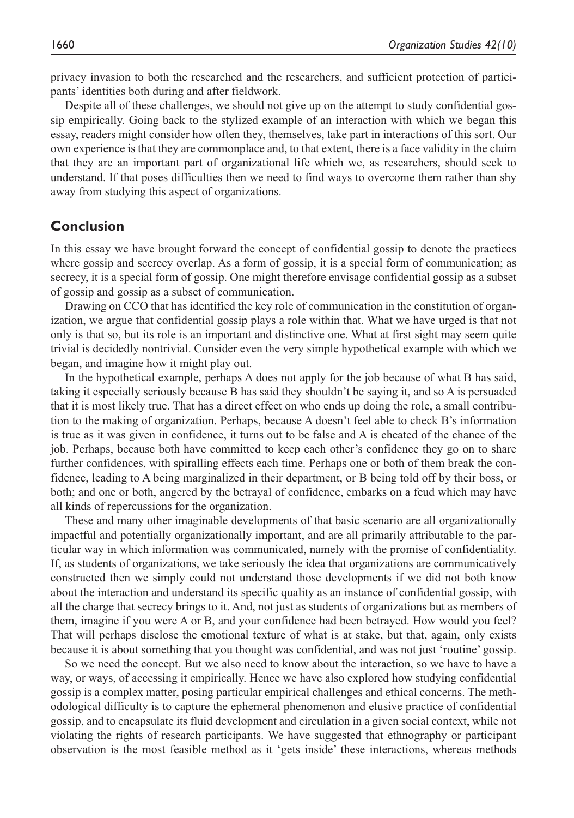privacy invasion to both the researched and the researchers, and sufficient protection of participants' identities both during and after fieldwork.

Despite all of these challenges, we should not give up on the attempt to study confidential gossip empirically. Going back to the stylized example of an interaction with which we began this essay, readers might consider how often they, themselves, take part in interactions of this sort. Our own experience is that they are commonplace and, to that extent, there is a face validity in the claim that they are an important part of organizational life which we, as researchers, should seek to understand. If that poses difficulties then we need to find ways to overcome them rather than shy away from studying this aspect of organizations.

# **Conclusion**

In this essay we have brought forward the concept of confidential gossip to denote the practices where gossip and secrecy overlap. As a form of gossip, it is a special form of communication; as secrecy, it is a special form of gossip. One might therefore envisage confidential gossip as a subset of gossip and gossip as a subset of communication.

Drawing on CCO that has identified the key role of communication in the constitution of organization, we argue that confidential gossip plays a role within that. What we have urged is that not only is that so, but its role is an important and distinctive one. What at first sight may seem quite trivial is decidedly nontrivial. Consider even the very simple hypothetical example with which we began, and imagine how it might play out.

In the hypothetical example, perhaps A does not apply for the job because of what B has said, taking it especially seriously because B has said they shouldn't be saying it, and so A is persuaded that it is most likely true. That has a direct effect on who ends up doing the role, a small contribution to the making of organization. Perhaps, because A doesn't feel able to check B's information is true as it was given in confidence, it turns out to be false and A is cheated of the chance of the job. Perhaps, because both have committed to keep each other's confidence they go on to share further confidences, with spiralling effects each time. Perhaps one or both of them break the confidence, leading to A being marginalized in their department, or B being told off by their boss, or both; and one or both, angered by the betrayal of confidence, embarks on a feud which may have all kinds of repercussions for the organization.

These and many other imaginable developments of that basic scenario are all organizationally impactful and potentially organizationally important, and are all primarily attributable to the particular way in which information was communicated, namely with the promise of confidentiality. If, as students of organizations, we take seriously the idea that organizations are communicatively constructed then we simply could not understand those developments if we did not both know about the interaction and understand its specific quality as an instance of confidential gossip, with all the charge that secrecy brings to it. And, not just as students of organizations but as members of them, imagine if you were A or B, and your confidence had been betrayed. How would you feel? That will perhaps disclose the emotional texture of what is at stake, but that, again, only exists because it is about something that you thought was confidential, and was not just 'routine' gossip.

So we need the concept. But we also need to know about the interaction, so we have to have a way, or ways, of accessing it empirically. Hence we have also explored how studying confidential gossip is a complex matter, posing particular empirical challenges and ethical concerns. The methodological difficulty is to capture the ephemeral phenomenon and elusive practice of confidential gossip, and to encapsulate its fluid development and circulation in a given social context, while not violating the rights of research participants. We have suggested that ethnography or participant observation is the most feasible method as it 'gets inside' these interactions, whereas methods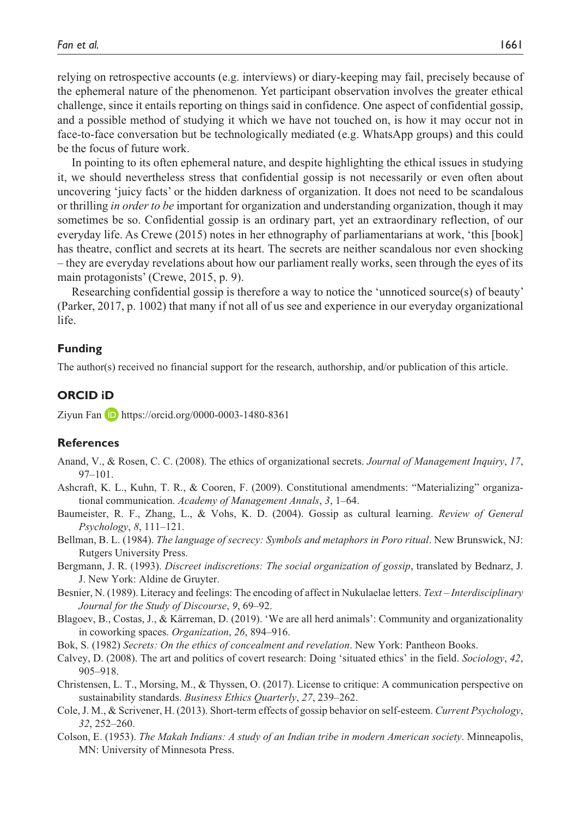relying on retrospective accounts (e.g. interviews) or diary-keeping may fail, precisely because of the ephemeral nature of the phenomenon. Yet participant observation involves the greater ethical challenge, since it entails reporting on things said in confidence. One aspect of confidential gossip, and a possible method of studying it which we have not touched on, is how it may occur not in face-to-face conversation but be technologically mediated (e.g. WhatsApp groups) and this could be the focus of future work.

In pointing to its often ephemeral nature, and despite highlighting the ethical issues in studying it, we should nevertheless stress that confidential gossip is not necessarily or even often about uncovering 'juicy facts' or the hidden darkness of organization. It does not need to be scandalous or thrilling *in order to be* important for organization and understanding organization, though it may sometimes be so. Confidential gossip is an ordinary part, yet an extraordinary reflection, of our everyday life. As Crewe (2015) notes in her ethnography of parliamentarians at work, 'this [book] has theatre, conflict and secrets at its heart. The secrets are neither scandalous nor even shocking – they are everyday revelations about how our parliament really works, seen through the eyes of its main protagonists' (Crewe, 2015, p. 9).

Researching confidential gossip is therefore a way to notice the 'unnoticed source(s) of beauty' (Parker, 2017, p. 1002) that many if not all of us see and experience in our everyday organizational life.

#### **Funding**

The author(s) received no financial support for the research, authorship, and/or publication of this article.

#### **ORCID iD**

Ziyun Fan **D** <https://orcid.org/0000-0003-1480-8361>

#### **References**

- Anand, V., & Rosen, C. C. (2008). The ethics of organizational secrets. *Journal of Management Inquiry*, *17*, 97–101.
- Ashcraft, K. L., Kuhn, T. R., & Cooren, F. (2009). Constitutional amendments: "Materializing" organizational communication. *Academy of Management Annals*, *3*, 1–64.
- Baumeister, R. F., Zhang, L., & Vohs, K. D. (2004). Gossip as cultural learning. *Review of General Psychology*, *8*, 111–121.
- Bellman, B. L. (1984). *The language of secrecy: Symbols and metaphors in Poro ritual*. New Brunswick, NJ: Rutgers University Press.
- Bergmann, J. R. (1993). *Discreet indiscretions: The social organization of gossip*, translated by Bednarz, J. J. New York: Aldine de Gruyter.
- Besnier, N. (1989). Literacy and feelings: The encoding of affect in Nukulaelae letters. *Text Interdisciplinary Journal for the Study of Discourse*, *9*, 69–92.
- Blagoev, B., Costas, J., & Kärreman, D. (2019). 'We are all herd animals': Community and organizationality in coworking spaces. *Organization*, *26*, 894–916.
- Bok, S. (1982) *Secrets: On the ethics of concealment and revelation*. New York: Pantheon Books.
- Calvey, D. (2008). The art and politics of covert research: Doing 'situated ethics' in the field. *Sociology*, *42*, 905–918.
- Christensen, L. T., Morsing, M., & Thyssen, O. (2017). License to critique: A communication perspective on sustainability standards. *Business Ethics Quarterly*, *27*, 239–262.
- Cole, J. M., & Scrivener, H. (2013). Short-term effects of gossip behavior on self-esteem. *Current Psychology*, *32*, 252–260.
- Colson, E. (1953). *The Makah Indians: A study of an Indian tribe in modern American society*. Minneapolis, MN: University of Minnesota Press.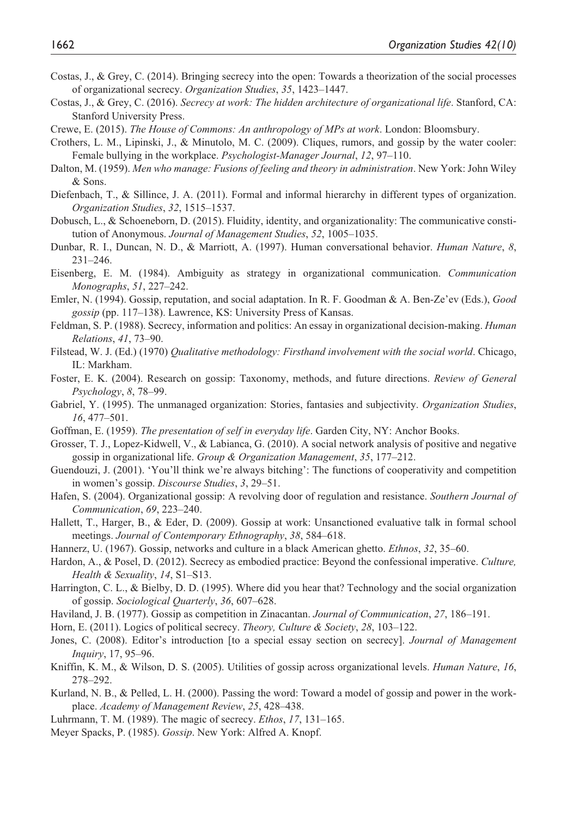- Costas, J., & Grey, C. (2014). Bringing secrecy into the open: Towards a theorization of the social processes of organizational secrecy. *Organization Studies*, *35*, 1423–1447.
- Costas, J., & Grey, C. (2016). *Secrecy at work: The hidden architecture of organizational life*. Stanford, CA: Stanford University Press.
- Crewe, E. (2015). *The House of Commons: An anthropology of MPs at work*. London: Bloomsbury.
- Crothers, L. M., Lipinski, J., & Minutolo, M. C. (2009). Cliques, rumors, and gossip by the water cooler: Female bullying in the workplace. *Psychologist-Manager Journal*, *12*, 97–110.
- Dalton, M. (1959). *Men who manage: Fusions of feeling and theory in administration*. New York: John Wiley & Sons.
- Diefenbach, T., & Sillince, J. A. (2011). Formal and informal hierarchy in different types of organization. *Organization Studies*, *32*, 1515–1537.
- Dobusch, L., & Schoeneborn, D. (2015). Fluidity, identity, and organizationality: The communicative constitution of Anonymous. *Journal of Management Studies*, *52*, 1005–1035.
- Dunbar, R. I., Duncan, N. D., & Marriott, A. (1997). Human conversational behavior. *Human Nature*, *8*, 231–246.
- Eisenberg, E. M. (1984). Ambiguity as strategy in organizational communication. *Communication Monographs*, *51*, 227–242.
- Emler, N. (1994). Gossip, reputation, and social adaptation. In R. F. Goodman & A. Ben-Ze'ev (Eds.), *Good gossip* (pp. 117–138). Lawrence, KS: University Press of Kansas.
- Feldman, S. P. (1988). Secrecy, information and politics: An essay in organizational decision-making. *Human Relations*, *41*, 73–90.
- Filstead, W. J. (Ed.) (1970) *Qualitative methodology: Firsthand involvement with the social world*. Chicago, IL: Markham.
- Foster, E. K. (2004). Research on gossip: Taxonomy, methods, and future directions. *Review of General Psychology*, *8*, 78–99.
- Gabriel, Y. (1995). The unmanaged organization: Stories, fantasies and subjectivity. *Organization Studies*, *16*, 477–501.
- Goffman, E. (1959). *The presentation of self in everyday life*. Garden City, NY: Anchor Books.
- Grosser, T. J., Lopez-Kidwell, V., & Labianca, G. (2010). A social network analysis of positive and negative gossip in organizational life. *Group & Organization Management*, *35*, 177–212.
- Guendouzi, J. (2001). 'You'll think we're always bitching': The functions of cooperativity and competition in women's gossip. *Discourse Studies*, *3*, 29–51.
- Hafen, S. (2004). Organizational gossip: A revolving door of regulation and resistance. *Southern Journal of Communication*, *69*, 223–240.
- Hallett, T., Harger, B., & Eder, D. (2009). Gossip at work: Unsanctioned evaluative talk in formal school meetings. *Journal of Contemporary Ethnography*, *38*, 584–618.
- Hannerz, U. (1967). Gossip, networks and culture in a black American ghetto. *Ethnos*, *32*, 35–60.
- Hardon, A., & Posel, D. (2012). Secrecy as embodied practice: Beyond the confessional imperative. *Culture, Health & Sexuality*, *14*, S1–S13.
- Harrington, C. L., & Bielby, D. D. (1995). Where did you hear that? Technology and the social organization of gossip. *Sociological Quarterly*, *36*, 607–628.
- Haviland, J. B. (1977). Gossip as competition in Zinacantan. *Journal of Communication*, *27*, 186–191.
- Horn, E. (2011). Logics of political secrecy. *Theory, Culture & Society*, *28*, 103–122.
- Jones, C. (2008). Editor's introduction [to a special essay section on secrecy]. *Journal of Management Inquiry*, 17, 95–96.
- Kniffin, K. M., & Wilson, D. S. (2005). Utilities of gossip across organizational levels. *Human Nature*, *16*, 278–292.
- Kurland, N. B., & Pelled, L. H. (2000). Passing the word: Toward a model of gossip and power in the workplace. *Academy of Management Review*, *25*, 428–438.
- Luhrmann, T. M. (1989). The magic of secrecy. *Ethos*, *17*, 131–165.
- Meyer Spacks, P. (1985). *Gossip*. New York: Alfred A. Knopf.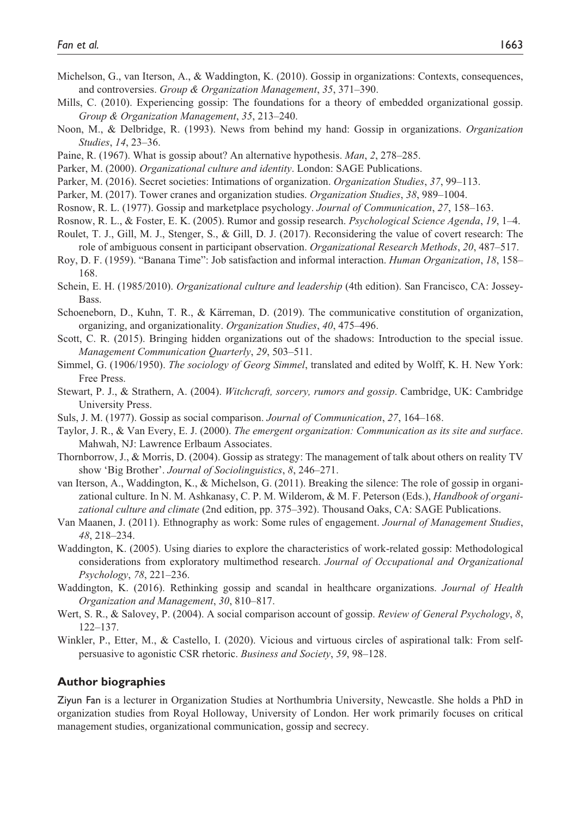- Michelson, G., van Iterson, A., & Waddington, K. (2010). Gossip in organizations: Contexts, consequences, and controversies. *Group & Organization Management*, *35*, 371–390.
- Mills, C. (2010). Experiencing gossip: The foundations for a theory of embedded organizational gossip. *Group & Organization Management*, *35*, 213–240.
- Noon, M., & Delbridge, R. (1993). News from behind my hand: Gossip in organizations. *Organization Studies*, *14*, 23–36.
- Paine, R. (1967). What is gossip about? An alternative hypothesis. *Man*, *2*, 278–285.
- Parker, M. (2000). *Organizational culture and identity*. London: SAGE Publications.
- Parker, M. (2016). Secret societies: Intimations of organization. *Organization Studies*, *37*, 99–113.
- Parker, M. (2017). Tower cranes and organization studies. *Organization Studies*, *38*, 989–1004.
- Rosnow, R. L. (1977). Gossip and marketplace psychology. *Journal of Communication*, *27*, 158–163.
- Rosnow, R. L., & Foster, E. K. (2005). Rumor and gossip research. *Psychological Science Agenda*, *19*, 1–4.
- Roulet, T. J., Gill, M. J., Stenger, S., & Gill, D. J. (2017). Reconsidering the value of covert research: The role of ambiguous consent in participant observation. *Organizational Research Methods*, *20*, 487–517.
- Roy, D. F. (1959). "Banana Time": Job satisfaction and informal interaction. *Human Organization*, *18*, 158– 168.
- Schein, E. H. (1985/2010). *Organizational culture and leadership* (4th edition). San Francisco, CA: Jossey-**Bass**
- Schoeneborn, D., Kuhn, T. R., & Kärreman, D. (2019). The communicative constitution of organization, organizing, and organizationality. *Organization Studies*, *40*, 475–496.
- Scott, C. R. (2015). Bringing hidden organizations out of the shadows: Introduction to the special issue. *Management Communication Quarterly*, *29*, 503–511.
- Simmel, G. (1906/1950). *The sociology of Georg Simmel*, translated and edited by Wolff, K. H. New York: Free Press.
- Stewart, P. J., & Strathern, A. (2004). *Witchcraft, sorcery, rumors and gossip*. Cambridge, UK: Cambridge University Press.
- Suls, J. M. (1977). Gossip as social comparison. *Journal of Communication*, *27*, 164–168.
- Taylor, J. R., & Van Every, E. J. (2000). *The emergent organization: Communication as its site and surface*. Mahwah, NJ: Lawrence Erlbaum Associates.
- Thornborrow, J., & Morris, D. (2004). Gossip as strategy: The management of talk about others on reality TV show 'Big Brother'. *Journal of Sociolinguistics*, *8*, 246–271.
- van Iterson, A., Waddington, K., & Michelson, G. (2011). Breaking the silence: The role of gossip in organizational culture. In N. M. Ashkanasy, C. P. M. Wilderom, & M. F. Peterson (Eds.), *Handbook of organizational culture and climate* (2nd edition, pp. 375–392). Thousand Oaks, CA: SAGE Publications.
- Van Maanen, J. (2011). Ethnography as work: Some rules of engagement. *Journal of Management Studies*, *48*, 218–234.
- Waddington, K. (2005). Using diaries to explore the characteristics of work-related gossip: Methodological considerations from exploratory multimethod research. *Journal of Occupational and Organizational Psychology*, *78*, 221–236.
- Waddington, K. (2016). Rethinking gossip and scandal in healthcare organizations. *Journal of Health Organization and Management*, *30*, 810–817.
- Wert, S. R., & Salovey, P. (2004). A social comparison account of gossip. *Review of General Psychology*, *8*, 122–137.
- Winkler, P., Etter, M., & Castello, I. (2020). Vicious and virtuous circles of aspirational talk: From selfpersuasive to agonistic CSR rhetoric. *Business and Society*, *59*, 98–128.

#### **Author biographies**

Ziyun Fan is a lecturer in Organization Studies at Northumbria University, Newcastle. She holds a PhD in organization studies from Royal Holloway, University of London. Her work primarily focuses on critical management studies, organizational communication, gossip and secrecy.